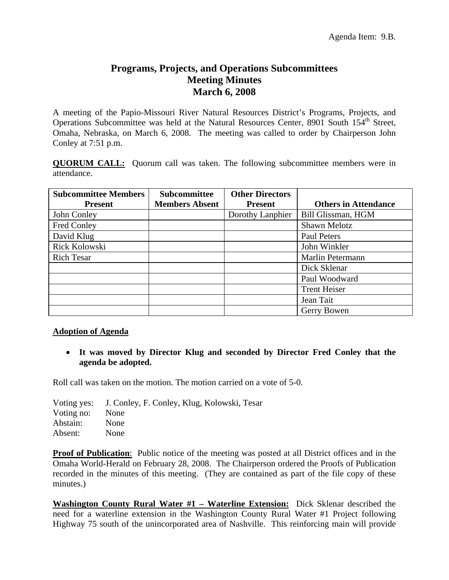## **Programs, Projects, and Operations Subcommittees Meeting Minutes March 6, 2008**

A meeting of the Papio-Missouri River Natural Resources District's Programs, Projects, and Operations Subcommittee was held at the Natural Resources Center, 8901 South 154<sup>th</sup> Street, Omaha, Nebraska, on March 6, 2008. The meeting was called to order by Chairperson John Conley at 7:51 p.m.

**QUORUM CALL:** Quorum call was taken. The following subcommittee members were in attendance.

| <b>Subcommittee Members</b> | <b>Subcommittee</b>   | <b>Other Directors</b> |                             |
|-----------------------------|-----------------------|------------------------|-----------------------------|
| <b>Present</b>              | <b>Members Absent</b> | <b>Present</b>         | <b>Others in Attendance</b> |
| John Conley                 |                       | Dorothy Lanphier       | Bill Glissman, HGM          |
| Fred Conley                 |                       |                        | Shawn Melotz                |
| David Klug                  |                       |                        | Paul Peters                 |
| Rick Kolowski               |                       |                        | John Winkler                |
| <b>Rich Tesar</b>           |                       |                        | Marlin Petermann            |
|                             |                       |                        | Dick Sklenar                |
|                             |                       |                        | Paul Woodward               |
|                             |                       |                        | <b>Trent Heiser</b>         |
|                             |                       |                        | Jean Tait                   |
|                             |                       |                        | Gerry Bowen                 |

## **Adoption of Agenda**

• **It was moved by Director Klug and seconded by Director Fred Conley that the agenda be adopted.**

Roll call was taken on the motion. The motion carried on a vote of 5-0.

|            | Voting yes: J. Conley, F. Conley, Klug, Kolowski, Tesar |
|------------|---------------------------------------------------------|
| Voting no: | None                                                    |
| Abstain:   | None                                                    |
| Absent:    | <b>None</b>                                             |

**Proof of Publication**: Public notice of the meeting was posted at all District offices and in the Omaha World-Herald on February 28, 2008. The Chairperson ordered the Proofs of Publication recorded in the minutes of this meeting. (They are contained as part of the file copy of these minutes.)

**Washington County Rural Water #1 – Waterline Extension:** Dick Sklenar described the need for a waterline extension in the Washington County Rural Water #1 Project following Highway 75 south of the unincorporated area of Nashville. This reinforcing main will provide